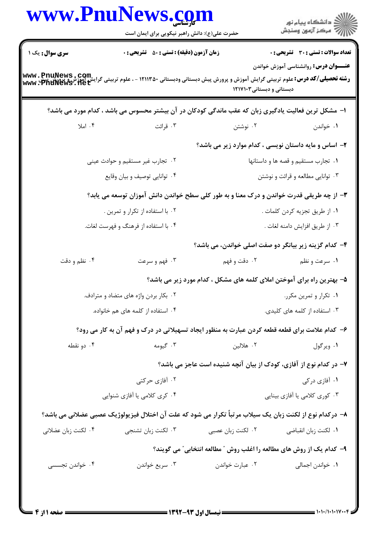|                                                                        |                                                                 | حضرت علی(ع): دانش راهبر نیکویی برای ایمان است                                                                                                   |                                    |  |
|------------------------------------------------------------------------|-----------------------------------------------------------------|-------------------------------------------------------------------------------------------------------------------------------------------------|------------------------------------|--|
| <b>تعداد سوالات : تستی : 30 ٪ تشریحی : 0</b>                           |                                                                 | <b>زمان آزمون (دقیقه) : تستی : 50 ٪ تشریحی : 0</b>                                                                                              | سری سوال: یک ۱                     |  |
| <b>عنـــوان درس:</b> روانشناسی آموزش خواندن                            | دبستانی و دبستانی ۱۲۱۷۱۰۳                                       | <b>رشته تحصیلی/کد درس:</b> علوم تربیتی گرایش آموزش و پرورش پیش دبستانی ودبستانی ۱۲۱۱۳۵۰ - ، علوم تربیتی گرایش آموزشی پیش<br>www . PnuNews . net |                                    |  |
|                                                                        |                                                                 | ا– مشکل ترین فعالیت یادگیری زبان که عقب ماندگی کودکان در آن بیشتر محسوس می باشد ، کدام مورد می باشد؟                                            |                                    |  |
| ۰۱ خواندن                                                              | ۰۲ نوشتن                                                        | ۰۳ قرائت                                                                                                                                        | ۰۴ املا                            |  |
| ۲- اساس و مایه داستان نویسی ، کدام موارد زیر می باشد؟                  |                                                                 |                                                                                                                                                 |                                    |  |
| ٠١ تجارب مستقيم و قصه ها و داستانها                                    |                                                                 | ۰۲ تجارب غیر مستقیم و حوادث عینی                                                                                                                |                                    |  |
| ۰۳ توانایی مطالعه و قرائت و نوشتن                                      |                                                                 | ۰۴ توانایی توصیف و بیان وقایع                                                                                                                   |                                    |  |
|                                                                        |                                                                 | ۳- از چه طریقی قدرت خواندن و درک معنا و به طور کلی سطح خواندن دانش آموزان توسعه می یابد؟                                                        |                                    |  |
| ٠١ از طريق تجزيه كردن كلمات .                                          |                                                                 | ۰۲ با استفاده از تکرار و تمرین .                                                                                                                |                                    |  |
| ۰۳ از طریق افزایش دامنه لغات .                                         |                                                                 | ۰۴ با استفاده از فرهنگ و فهرست لغات.                                                                                                            |                                    |  |
| ۴- کدام گزینه زیر بیانگر دو صفت اصلی خواندن، می باشد؟                  |                                                                 |                                                                                                                                                 |                                    |  |
| ۰۱ سرعت و نظم                                                          | ۰۲ دقت و فهم                                                    | ۰۳ فهم و سرعت                                                                                                                                   | ۰۴ نظم و دقت                       |  |
| ۵- بهترین راه برای آموختن املای کلمه های مشکل ، کدام مورد زیر می باشد؟ |                                                                 |                                                                                                                                                 |                                    |  |
|                                                                        | ۰۲ بکار بردن واژه های متضاد و مترادف.<br>۰۱ تکرار و تمرین مکرر. |                                                                                                                                                 |                                    |  |
| ۰۳ استفاده از کلمه های کلیدی.                                          |                                                                 |                                                                                                                                                 | ۰۴ استفاده از کلمه های هم خانواده. |  |
|                                                                        |                                                                 | ۶- کدام علامت برای قطعه قطعه کردن عبارت به منظور ایجاد تسهیلاتی در درک و فهم آن به کار می رود؟                                                  |                                    |  |
| ۰۱ ویرگول                                                              | ۰۲ هلالين                                                       | ۰۳ گیومه                                                                                                                                        | ۰۴ دو نقطه                         |  |
| ۷- در کدام نوع از آفازی، کودک از بیان آنچه شنیده است عاجز می باشد؟     |                                                                 |                                                                                                                                                 |                                    |  |
| ۰۱ آفازی در کی                                                         |                                                                 | ۰۲ آفازی حرکتی                                                                                                                                  |                                    |  |
| ۰۳ کوری کلامی یا آفازی بینایی                                          |                                                                 | ۰۴ کری کلامی یا آفازی شنوایی                                                                                                                    |                                    |  |
|                                                                        |                                                                 | ٨– دركدام نوع از لكنت زبان يك سيلاب مرتباً تكرار مي شود كه علت آن اختلال فيزيولوژيک عصبي عضلاني مي باشد؟                                        |                                    |  |
| ٠١. لكنت زبان انقباضي                                                  | ۰۲ لکنت زبان عصبی                                               | ۰۳ لکنت زبان تشنجي                                                                                                                              | ۰۴ لکنت زبان عضلانی                |  |
| ۹- کدام یک از روش های مطالعه را اغلب روش ″ مطالعه انتخابی″ می گویند؟   |                                                                 |                                                                                                                                                 |                                    |  |
| ٠١. خواندن اجمالي                                                      | ۰۲ عبارت خواندن                                                 | ۰۳ سريع خواندن                                                                                                                                  | ۰۴ خواندن تجسسی                    |  |

 $\blacksquare$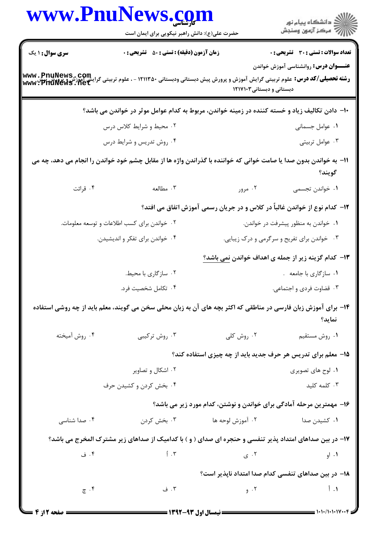|                        | www.PnuNews.com                                                                                                                                     |                                                                                                           | انشگاه پيام نور)<br>اگر مرکز آزمون وسنجش            |
|------------------------|-----------------------------------------------------------------------------------------------------------------------------------------------------|-----------------------------------------------------------------------------------------------------------|-----------------------------------------------------|
|                        | حضرت علی(ع): دانش راهبر نیکویی برای ایمان است                                                                                                       |                                                                                                           |                                                     |
| <b>سری سوال : ۱ یک</b> | <b>زمان آزمون (دقیقه) : تستی : 50 ٪ تشریحی : 0</b>                                                                                                  |                                                                                                           | <b>تعداد سوالات : تستی : 30 ٪ تشریحی : 0</b>        |
|                        | <b>رشته تحصیلی/کد درس:</b> علوم تربیتی گرایش آموزش و پرورش پیش دبستانی ودبستانی ۱۲۱۱۳۵۰ - ، علوم تربیتی گرایش اموزش و پرورش:<br>www : PhuNews . net | دبستانی و دبستانی ۱۲۱۷۱۰۳                                                                                 | <b>عنـــوان درس:</b> روانشناسی آموزش خواندن         |
|                        | ∙ا− دادن تکالیف زیاد و خسته کننده در زمینه خواندن، مربوط به کدام عوامل موثر در خواندن می باشد؟                                                      |                                                                                                           |                                                     |
|                        | ۰۲ محیط و شرایط کلاس درس                                                                                                                            |                                                                                                           | ۰۱ عوامل جسمانی                                     |
|                        | ۰۴ روش تدریس و شرایط درس                                                                                                                            |                                                                                                           | ۰۳ عوامل تربيتي                                     |
|                        | 11– به خواندن بدون صدا یا صامت خوانی که خواننده با گذراندن واژه ها از مقابل چشم خود خواندن را انجام می دهد، چه می                                   |                                                                                                           | گويند؟                                              |
| ۰۴ قرائت               | ۰۳ مطالعه                                                                                                                                           | ۰۲ مرور                                                                                                   | ٠١. خواندن تجسمي                                    |
|                        |                                                                                                                                                     | ۱۲- کدام نوع از خواندن غالباً در کلاس و در جریان رسمی آموزش اتفاق می افتد؟                                |                                                     |
|                        | ۰۲ خواندن برای کسب اطلاعات و توسعه معلومات.                                                                                                         |                                                                                                           | ۰۱ خواندن به منظور پیشرفت در خواندن.                |
|                        | ۰۴ خواندن برای تفکر و اندیشیدن.                                                                                                                     |                                                                                                           | ۰۳ خواندن برای تفریح و سرگرمی و درک زیبایی.         |
|                        |                                                                                                                                                     |                                                                                                           | ۱۳– کدام گزینه زیر از جمله ی اهداف خواندن نمی باشد؟ |
|                        | ۰۲ سازگاری با محیط.                                                                                                                                 |                                                                                                           | ۰۱ سازگاری با جامعه .                               |
|                        | ۴. تكامل شخصيت فرد.                                                                                                                                 |                                                                                                           | ۰۳ قضاوت فردی و اجتماعی.                            |
|                        | ۱۴- برای آموزش زبان فارسی در مناطقی که اکثر بچه های آن به زبان محلی سخن می گویند، معلم باید از چه روشی استفاده                                      |                                                                                                           | نمايد؟                                              |
| ۰۴ روش أميخته          | ۰۳ روش ترکیبی                                                                                                                                       | ۰۲ روش کلی                                                                                                | ٠١ روش مستقيم                                       |
|                        |                                                                                                                                                     | ۱۵– معلم برای تدریس هر حرف جدید باید از چه چیزی استفاده کند؟                                              |                                                     |
|                        | ۰۲ اشکال و تصاویر                                                                                                                                   |                                                                                                           | ۰۱ لوح های تصویری                                   |
|                        | ۰۴ بخش کردن و کشیدن حرف                                                                                                                             |                                                                                                           | ۰۳ کلمه کلید                                        |
|                        |                                                                                                                                                     | ۱۶– مهمترین مرحله آمادگی برای خواندن و نوشتن، کدام مورد زیر می باشد؟                                      |                                                     |
| ۰۴ صدا شناسی           |                                                                                                                                                     |                                                                                                           | ۰۱ کشیدن صدا                                        |
|                        | ۱۷- در بین صداهای امتداد پذیر تنفسی و حنجره ای صدای ( و ) با کدامیک از صداهای زیر مشترک المخرج می باشد؟                                             |                                                                                                           |                                                     |
| ۰۴ ف                   | $\uparrow$ . $\uparrow$                                                                                                                             | ۰۲ ی $\mathcal{S}$                                                                                        | ۰۱ او                                               |
|                        |                                                                                                                                                     | ۱۸– در بین صداهای تنفسی کدام صدا امتداد ناپذیر است؟                                                       |                                                     |
| $\tilde{\epsilon}$ . ۴ | ۰۳ ف                                                                                                                                                | <b>۱.</b> أبو المستخدم المستخدم المستخدم المستخدم المستخدم المستخدم المستخدم المستخدم المستخدم المستخدم ا |                                                     |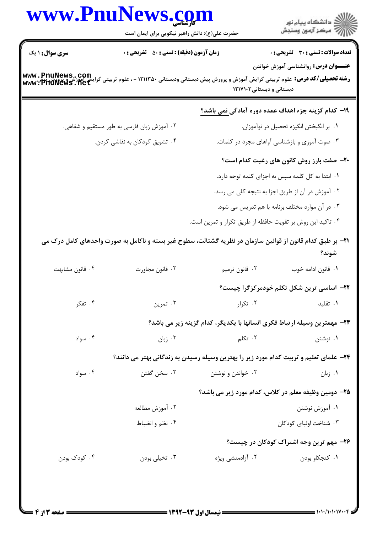|                        | www.PnuNews.com<br>حضرت علی(ع): دانش راهبر نیکویی برای ایمان است                                                                                                                                          |                                                                                               | ر دانشگاه پيام نور<br>ا∛هرکز آزمون وسنجش                                             |
|------------------------|-----------------------------------------------------------------------------------------------------------------------------------------------------------------------------------------------------------|-----------------------------------------------------------------------------------------------|--------------------------------------------------------------------------------------|
| <b>سری سوال : ۱ یک</b> | <b>زمان آزمون (دقیقه) : تستی : 50 ٪ تشریحی : 0</b><br><b>رشته تحصیلی/کد درس:</b> علوم تربیتی گرایش آموزش و پرورش پیش دبستانی ودبستانی ۱۲۱۱۳۵۰ - ، علوم تربیتی گرایش اموزش و پرورش:<br>www : PhuNews . net | دبستانی و دبستانی۳۱۷۱۰۳                                                                       | تعداد سوالات : تستي : 30 - تشريحي : 0<br><b>عنـــوان درس:</b> روانشناسی آموزش خواندن |
|                        |                                                                                                                                                                                                           | ۱۹- کدام گزینه جزء اهداف عمده دوره آمادگی <u>نمی باشد؟</u>                                    |                                                                                      |
|                        | ۰۲ آموزش زبان فارسی به طور مستقیم و شفاهی.                                                                                                                                                                |                                                                                               | ۰۱ بر انگیختن انگیزه تحصیل در نوآموزان.                                              |
|                        | ۰۴ تشویق کودکان به نقاشی کردن.                                                                                                                                                                            |                                                                                               | ۰۳ صوت آموزی و بازشناسی آواهای مجرد در کلمات.                                        |
|                        |                                                                                                                                                                                                           |                                                                                               | <b>۲۰</b> - صفت بارز روش کانون های رغبت کدام است؟                                    |
|                        |                                                                                                                                                                                                           |                                                                                               | ۰۱ ابتدا به کل کلمه سپس به اجزای کلمه توجه دارد.                                     |
|                        |                                                                                                                                                                                                           |                                                                                               | ۰۲ آموزش در آن از طریق اجزا به نتیجه کلی می رسد.                                     |
|                        |                                                                                                                                                                                                           |                                                                                               | ۰۳ در آن موارد مختلف برنامه با هم تدریس می شود.                                      |
|                        |                                                                                                                                                                                                           | ۰۴ تاکید این روش بر تقویت حافظه از طریق تکرار و تمرین است.                                    |                                                                                      |
|                        | <b>۳۱</b> - بر طبق کدام قانون از قوانین سازمان در نظریه گشتالت، سطوح غیر بسته و ناکامل به صورت واحدهای کامل درک می                                                                                        |                                                                                               | شوند؟                                                                                |
| ۰۴ قانون مشابهت        | ۰۳ قانون مجاورت                                                                                                                                                                                           | ۰۲ قانون ترميم                                                                                | ٠١. قانون ادامه خوب                                                                  |
|                        |                                                                                                                                                                                                           |                                                                                               | <b>۲۲</b> - اساسی ترین شکل تکلم خودمرکزگرا چیست؟                                     |
| ۰۴ تفکر                | ۰۳ تمرین                                                                                                                                                                                                  | ۰۲ تکرار                                                                                      | ۰۱ تقلید                                                                             |
|                        |                                                                                                                                                                                                           | ٢٣– مهمترين وسيله ارتباط فكرى انسانها با يكديگر، كدام گزينه زير مي باشد؟                      |                                                                                      |
| ۰۴ سواد                | بان $\cdot$ ۳                                                                                                                                                                                             | ۰۲ تکلم                                                                                       | ۰۱ نوشتن                                                                             |
|                        |                                                                                                                                                                                                           | <b>۳۴</b> – علمای تعلیم و تربیت کدام مورد زیر را بهترین وسیله رسیدن به زندگانی بهتر می دانند؟ |                                                                                      |
| ۰۴ سواد                | ۰۳ سخن گفتن                                                                                                                                                                                               | ۰۲ خواندن و نوشتن                                                                             | ۰۱ زبان                                                                              |
|                        |                                                                                                                                                                                                           | ۲۵– دومین وظیفه معلم در کلاس، کدام مورد زیر می باشد؟                                          |                                                                                      |
|                        | ٢. آموزش مطالعه                                                                                                                                                                                           |                                                                                               | ۰۱ آموزش نوشتن                                                                       |
|                        | ۰۴ نظم و انضباط                                                                                                                                                                                           |                                                                                               | ۰۳ شناخت اولیای کودکان                                                               |
|                        |                                                                                                                                                                                                           |                                                                                               | ۲۶- مهم ترین وجه اشتراک کودکان در چیست؟                                              |
| ۰۴ کودک بودن           |                                                                                                                                                                                                           | ۰۲ آزادمنشی ویژه                                                                              |                                                                                      |

×